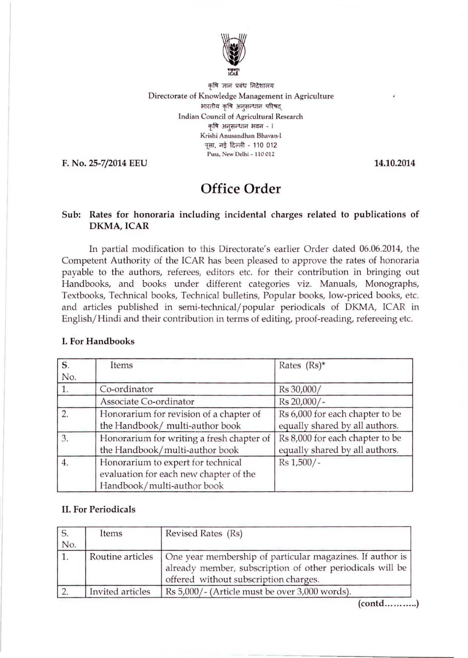

कृषि ज्ञान प्रबंध निदेशालय **Directorate of Knowledge Management in Agriculture**  भारतीय कृषि अनुसन्धान परिषद **Indian Council of Agricultural Research**  कृषि अनुसन्धान भवन - । **Krishi Anusandhan Bhavan·l**  पसा, नई दिल्ली - 110 012 **Pusa, New Delhi - <sup>11</sup> 0012** 

F. No. 25-7/2014 EEU 14.10,2014

# **Office Order**

## Sub: Rates for honoraria including incidental charges related to publications of DKMA, ICAR

In partial modification to this Directorate's earlier Order dated 06.06.2014, the Competent Authority of the ICAR has been pleased to approve the rates of honoraria payable to the authors, referees, editors etc. for their contribution in bringing out Handbooks, and books under different categories viz. Manuals, Monographs, Textbooks, Technical books, Technical bulletins, Popular books, low-priced books, etc. and articles published in semi-technical/popular periodicals of DKMA, ICAR in English/Hindi and their contribution in terms of editing, proof-reading, refereeing etc.

| $\overline{\mathbf{s}}$ . | Items                                                                                                      | Rates $(Rs)^*$                                                    |
|---------------------------|------------------------------------------------------------------------------------------------------------|-------------------------------------------------------------------|
| No.                       |                                                                                                            |                                                                   |
| 1.                        | Co-ordinator                                                                                               | Rs 30,000/                                                        |
|                           | Associate Co-ordinator                                                                                     | Rs 20,000/-                                                       |
| $\overline{2}$ .          | Honorarium for revision of a chapter of<br>the Handbook/ multi-author book                                 | Rs 6,000 for each chapter to be<br>equally shared by all authors. |
| 3.                        | Honorarium for writing a fresh chapter of<br>the Handbook/multi-author book                                | Rs 8,000 for each chapter to be<br>equally shared by all authors. |
| 4.                        | Honorarium to expert for technical<br>evaluation for each new chapter of the<br>Handbook/multi-author book | Rs 1,500/-                                                        |

# L For Handbooks

#### II. For Periodicals

| S.<br>No. | Items            | Revised Rates (Rs)                                                                                                                                              |
|-----------|------------------|-----------------------------------------------------------------------------------------------------------------------------------------------------------------|
| 1.        | Routine articles | One year membership of particular magazines. If author is<br>already member, subscription of other periodicals will be<br>offered without subscription charges. |
|           | Invited articles | Rs 5,000/- (Article must be over 3,000 words).                                                                                                                  |

(contd............)